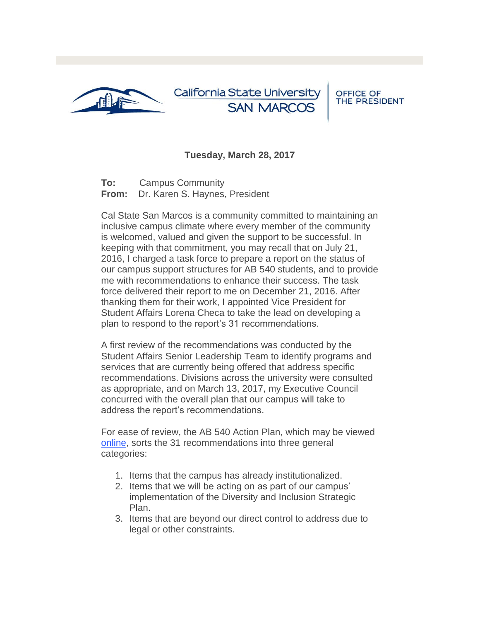

California State University **SAN MARCOS** 

**OFFICE OF** THE PRESIDENT

## **Tuesday, March 28, 2017**

**To:** Campus Community **From:** Dr. Karen S. Haynes, President

Cal State San Marcos is a community committed to maintaining an inclusive campus climate where every member of the community is welcomed, valued and given the support to be successful. In keeping with that commitment, you may recall that on July 21, 2016, I charged a task force to prepare a report on the status of our campus support structures for AB 540 students, and to provide me with recommendations to enhance their success. The task force delivered their report to me on December 21, 2016. After thanking them for their work, I appointed Vice President for Student Affairs Lorena Checa to take the lead on developing a plan to respond to the report's 31 recommendations.

A first review of the recommendations was conducted by the Student Affairs Senior Leadership Team to identify programs and services that are currently being offered that address specific recommendations. Divisions across the university were consulted as appropriate, and on March 13, 2017, my Executive Council concurred with the overall plan that our campus will take to address the report's recommendations.

For ease of review, the AB 540 Action Plan, which may be viewed [online,](https://t.e2ma.net/click/98w4nb/hzi59q/dgdxvv) sorts the 31 recommendations into three general categories:

- 1. Items that the campus has already institutionalized.
- 2. Items that we will be acting on as part of our campus' implementation of the Diversity and Inclusion Strategic Plan.
- 3. Items that are beyond our direct control to address due to legal or other constraints.